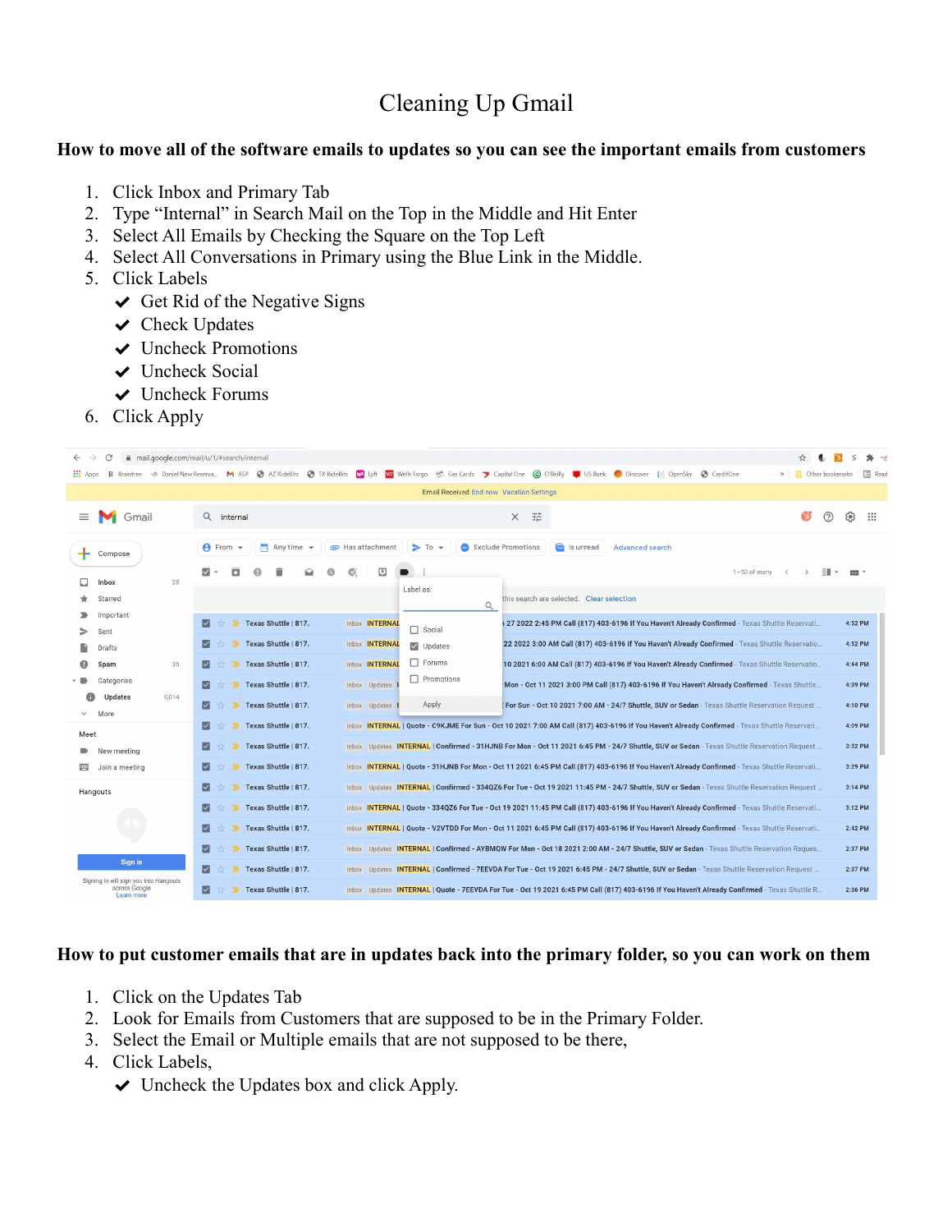# Cleaning Up Gmail

### How to move all of the software emails to updates so you can see the important emails from customers

- 1. Click Inbox and Primary Tab
- 2. Type "Internal" in Search Mail on the Top in the Middle and Hit Enter
- 3. Select All Emails by Checking the Square on the Top Left
- 4. Select All Conversations in Primary using the Blue Link in the Middle.
- 5. Click Labels
	- $\triangleleft$  Get Rid of the Negative Signs
	- $\vee$  Check Updates
	- ✔ Uncheck Promotions
	- $\vee$  Uncheck Social
	- $\vee$  Uncheck Forums
- 6. Click Apply

| $\rightarrow$<br>C                                                    | mail.google.com/mail/u/1/#search/internal                                               |                                                                                                                                                                                                           | $* -$         |
|-----------------------------------------------------------------------|-----------------------------------------------------------------------------------------|-----------------------------------------------------------------------------------------------------------------------------------------------------------------------------------------------------------|---------------|
| <b>H</b> Apps                                                         |                                                                                         | B Braintree - Daniel New Reserva M ASP @ AZ RideBits @ TX RideBits   Ma Lyft   Wa Wells Fargo @ Gas Cards 7 Capital One @ O'Reilly   US Bank @ Discover   OpenSky @ CreditOne<br><b>D</b> Other bookmarks | <b>E</b> Read |
| <b>Email Received End now Vacation Settings</b>                       |                                                                                         |                                                                                                                                                                                                           |               |
| ≡<br>Gmail                                                            | Q internal                                                                              | 壬<br>②<br>$\overline{\mathcal{L}}$<br>$\times$                                                                                                                                                            | m             |
| Compose                                                               | $\blacksquare$ Any time $\blacktriangleright$<br>$\theta$ From $\sim$<br>Has attachment | S Is unread<br>Exclude Promotions<br>$\triangleright$ To<br>Advanced search                                                                                                                               |               |
| 28<br>Inbox                                                           | ⊡                                                                                       | $1-50$ of many                                                                                                                                                                                            |               |
| Starred                                                               |                                                                                         | Label as:<br>this search are selected. Clear selection<br>$\alpha$                                                                                                                                        |               |
| Important<br>Sent                                                     | Texas Shuttle   817.<br>Ⅳ<br>Inbox <b>INTERNAL</b><br>ъ.                                | 4:52 PM<br>127 2022 2:45 PM Call (817) 403-6196 If You Haven't Already Confirmed - Texas Shuttle Reservati<br>$\Box$ Social                                                                               |               |
| Drafts                                                                | Texas Shuttle   817.<br>M<br>Inbox <b>INTERNAL</b>                                      | 22 2022 3:00 AM Call (817) 403-6196 If You Haven't Already Confirmed - Texas Shuttle Reservatio<br>4:52 PM<br>$\vee$ Updates                                                                              |               |
| 35<br>Spam                                                            | Texas Shuttle   817.<br>Inbox INTERNAL<br>∣√∣                                           | $\Box$ Forums<br>10 2021 6:00 AM Call (817) 403-6196 If You Haven't Already Confirmed - Texas Shuttle Reservatio<br>4:44 PM                                                                               |               |
| Categories                                                            | Texas Shuttle   817.<br>Inbox Updates                                                   | $\Box$ Promotions<br>Mon - Oct 11 2021 3:00 PM Call (817) 403-6196 If You Haven't Already Confirmed - Texas Shuttle<br>4:39 PM                                                                            |               |
| <b>Updates</b><br>9,014                                               | Texas Shuttle   817.<br>⋈<br>Inbox Updates                                              | Apply<br>: For Sun - Oct 10 2021 7:00 AM - 24/7 Shuttle, SUV or Sedan - Texas Shuttle Reservation Request<br>4:10 PM                                                                                      |               |
| More                                                                  | Texas Shuttle   817.<br>Ⅳ                                                               | Inbox INTERNAL   Quote - C9KJME For Sun - Oct 10 2021 7:00 AM Call (817) 403-6196 If You Haven't Already Confirmed - Texas Shuttle Reservati<br>4:09 PM                                                   |               |
| Meet<br>New meeting                                                   | Texas Shuttle   817.<br>Ⅳ                                                               | Inbox Updates INTERNAL   Confirmed - 31HJNB For Mon - Oct 11 2021 6:45 PM - 24/7 Shuttle, SUV or Sedan - Texas Shuttle Reservation Request<br>3:32 PM                                                     |               |
| Join a meeting                                                        | Texas Shuttle   817.                                                                    | Inbox INTERNAL   Quote - 31HJNB For Mon - Oct 11 2021 6:45 PM Call (817) 403-6196 If You Haven't Already Confirmed - Texas Shuttle Reservati<br>3:29 PM                                                   |               |
| Hangouts                                                              | Texas Shuttle   817.<br>Ⅳ                                                               | Inbox Updates INTERNAL   Confirmed - 334QZ6 For Tue - Oct 19 2021 11:45 PM - 24/7 Shuttle, SUV or Sedan - Texas Shuttle Reservation Request<br>3:14 PM                                                    |               |
|                                                                       | Texas Shuttle   817.<br>Ⅳ                                                               | Inbox INTERNAL   Quote - 334QZ6 For Tue - Oct 19 2021 11:45 PM Call (817) 403-6196 If You Haven't Already Confirmed - Texas Shuttle Reservati<br>3:12 PM                                                  |               |
|                                                                       | ⊡<br>Texas Shuttle   817.                                                               | Inbox INTERNAL   Quote - V2VTDD For Mon - Oct 11 2021 6:45 PM Call (817) 403-6196 If You Haven't Already Confirmed - Texas Shuttle Reservati<br>2:42 PM                                                   |               |
|                                                                       | Texas Shuttle   817.                                                                    | Inbox Updates INTERNAL   Confirmed - AYBMQW For Mon - Oct 18 2021 2:00 AM - 24/7 Shuttle, SUV or Sedan - Texas Shuttle Reservation Reques<br>2:37 PM                                                      |               |
| Sign in                                                               | ⋈<br>Texas Shuttle   817.                                                               | Inbox Updates INTERNAL   Confirmed - 7EEVDA For Tue - Oct 19 2021 6:45 PM - 24/7 Shuttle, SUV or Sedan - Texas Shuttle Reservation Request<br>2:37 PM                                                     |               |
| Signing in will sign you into Hangouts<br>across Google<br>Learn more | Texas Shuttle   817.<br>M                                                               | Inbox Updates INTERNAL   Quote - 7EEVDA For Tue - Oct 19 2021 6:45 PM Call (817) 403-6196 If You Haven't Already Confirmed - Texas Shuttle R<br>2:36 PM                                                   |               |

## How to put customer emails that are in updates back into the primary folder, so you can work on them

- 1. Click on the Updates Tab
- 2. Look for Emails from Customers that are supposed to be in the Primary Folder.
- 3. Select the Email or Multiple emails that are not supposed to be there,
- 4. Click Labels,
	- $\vee$  Uncheck the Updates box and click Apply.